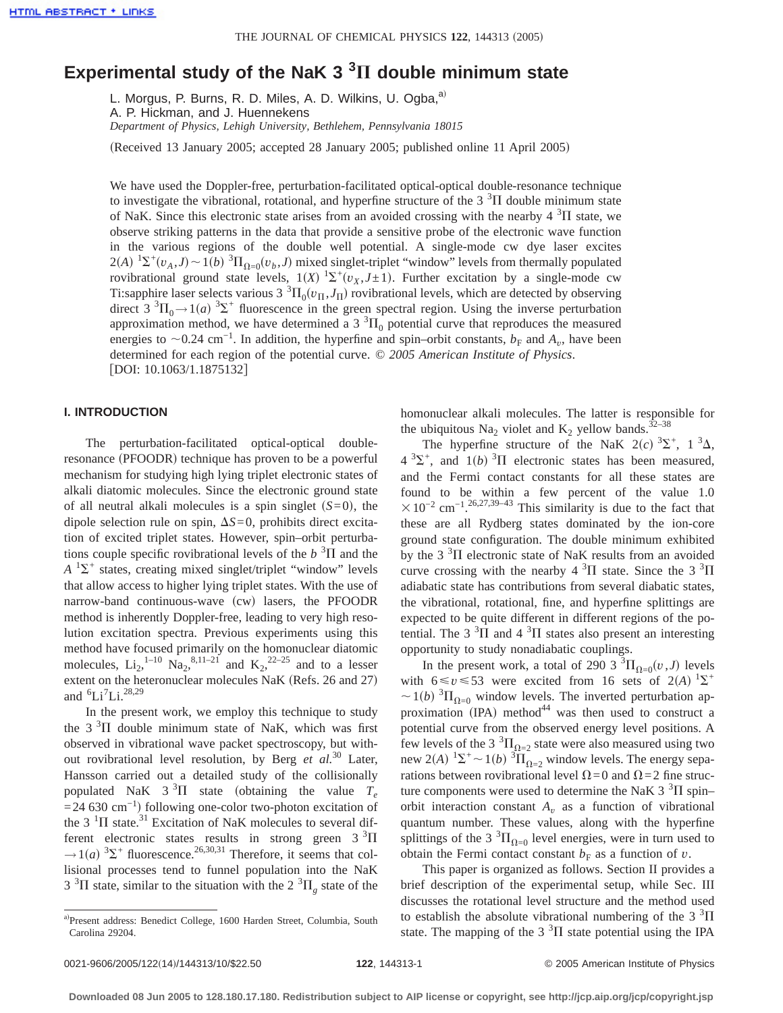# Experimental study of the NaK 3<sup>3</sup>II double minimum state

L. Morgus, P. Burns, R. D. Miles, A. D. Wilkins, U. Ogba,<sup>a)</sup> A. P. Hickman, and J. Huennekens *Department of Physics, Lehigh University, Bethlehem, Pennsylvania 18015*

(Received 13 January 2005; accepted 28 January 2005; published online 11 April 2005)

We have used the Doppler-free, perturbation-facilitated optical-optical double-resonance technique to investigate the vibrational, rotational, and hyperfine structure of the  $3<sup>3</sup>$ II double minimum state of NaK. Since this electronic state arises from an avoided crossing with the nearby  $4 \, \mathrm{^{3} \Pi}$  state, we observe striking patterns in the data that provide a sensitive probe of the electronic wave function in the various regions of the double well potential. A single-mode cw dye laser excites  $2(A)$   ${}^{1}\Sigma^{+}(v_{A}, J) \sim 1(b)$   ${}^{3}\Pi_{\Omega=0}(v_{b}, J)$  mixed singlet-triplet "window" levels from thermally populated rovibrational ground state levels,  $1(X)$   $\Sigma^+(v_X, J \pm 1)$ . Further excitation by a single-mode cw Ti:sapphire laser selects various 3  ${}^{3}$  $\Pi_{0}(v_{\Pi}, J_{\Pi})$  rovibrational levels, which are detected by observing direct  $3 \text{ }^{3}\Pi_{0} \rightarrow 1(a) \text{ }^{3}\Sigma^{+}$  fluorescence in the green spectral region. Using the inverse perturbation approximation method, we have determined a 3  ${}^{3}H_{0}$  potential curve that reproduces the measured energies to  $\sim$ 0.24 cm<sup>-1</sup>. In addition, the hyperfine and spin–orbit constants,  $b_F$  and  $A_v$ , have been determined for each region of the potential curve. © *2005 American Institute of Physics*. [DOI: 10.1063/1.1875132]

# **I. INTRODUCTION**

The perturbation-facilitated optical-optical doubleresonance (PFOODR) technique has proven to be a powerful mechanism for studying high lying triplet electronic states of alkali diatomic molecules. Since the electronic ground state of all neutral alkali molecules is a spin singlet  $(S=0)$ , the dipole selection rule on spin,  $\Delta S=0$ , prohibits direct excitation of excited triplet states. However, spin–orbit perturbations couple specific rovibrational levels of the  $b<sup>3</sup>$ II and the  $A<sup>1</sup>\Sigma^{+}$  states, creating mixed singlet/triplet "window" levels that allow access to higher lying triplet states. With the use of narrow-band continuous-wave (cw) lasers, the PFOODR method is inherently Doppler-free, leading to very high resolution excitation spectra. Previous experiments using this method have focused primarily on the homonuclear diatomic molecules,  $Li_2$ ,  $^{1-10}$   $Na_2$ ,  $^{8,11-21}$  and  $K_2$ ,  $^{22-25}$  and to a lesser extent on the heteronuclear molecules NaK (Refs. 26 and 27) and  ${}^{6}Li^7Li.^{28,29}$ 

In the present work, we employ this technique to study the  $3<sup>3</sup>\Pi$  double minimum state of NaK, which was first observed in vibrational wave packet spectroscopy, but without rovibrational level resolution, by Berg *et al.*<sup>30</sup> Later, Hansson carried out a detailed study of the collisionally populated NaK  $3^3\Pi$  state (obtaining the value  $T_e$  $=$  24 630 cm<sup>-1</sup>) following one-color two-photon excitation of the 3<sup>1</sup> $\Pi$  state.<sup>31</sup> Excitation of NaK molecules to several different electronic states results in strong green  $3 \text{ }^{3}\text{H}$  $\rightarrow$  1(*a*) <sup>3</sup> $\Sigma$ <sup>+</sup> fluorescence.<sup>26,30,31</sup> Therefore, it seems that collisional processes tend to funnel population into the NaK  $3<sup>3</sup>\Pi$  state, similar to the situation with the  $2<sup>3</sup>\Pi<sub>g</sub>$  state of the

homonuclear alkali molecules. The latter is responsible for the ubiquitous Na<sub>2</sub> violet and K<sub>2</sub> yellow bands.<sup>32–38</sup>

The hyperfine structure of the NaK  $2(c)$  <sup>3</sup> $\Sigma^+$ , 1<sup>3</sup> $\Delta$ ,  $4^{3}\Sigma^{+}$ , and  $1(b)^{3}\Pi$  electronic states has been measured, and the Fermi contact constants for all these states are found to be within a few percent of the value 1.0  $\times$  10<sup>-2</sup> cm<sup>-1</sup>.<sup>26,27,39-43</sup> This similarity is due to the fact that these are all Rydberg states dominated by the ion-core ground state configuration. The double minimum exhibited by the 3 $3\overline{1}$  electronic state of NaK results from an avoided curve crossing with the nearby  $4 \, \mathrm{^{3}\Pi}$  state. Since the  $3 \, \mathrm{^{3}\Pi}$ adiabatic state has contributions from several diabatic states, the vibrational, rotational, fine, and hyperfine splittings are expected to be quite different in different regions of the potential. The 3<sup>3</sup> $\Pi$  and 4<sup>3</sup> $\Pi$  states also present an interesting opportunity to study nonadiabatic couplings.

In the present work, a total of 290 3  ${}^{3}\Pi_{\Omega=0}(v, J)$  levels with  $6 \le v \le 53$  were excited from 16 sets of 2(A) <sup>1</sup> $\Sigma$ <sup>+</sup>  $\sim$  1(*b*) <sup>3</sup> $\Pi_{\Omega=0}$  window levels. The inverted perturbation approximation  $(IPA)$  method<sup>44</sup> was then used to construct a potential curve from the observed energy level positions. A few levels of the 3  ${}^{3}H_{\Omega=2}$  state were also measured using two new 2(*A*)  ${}^{1}\Sigma^{+} \sim 1(b)$   ${}^{3}\Pi_{\Omega=2}$  window levels. The energy separations between rovibrational level  $\Omega$ =0 and  $\Omega$ =2 fine structure components were used to determine the NaK 3<sup>3</sup> $\Pi$  spin– orbit interaction constant  $A_v$  as a function of vibrational quantum number. These values, along with the hyperfine splittings of the 3  ${}^{3}\Pi_{\Omega=0}$  level energies, were in turn used to obtain the Fermi contact constant  $b_F$  as a function of *v*.

This paper is organized as follows. Section II provides a brief description of the experimental setup, while Sec. III discusses the rotational level structure and the method used to establish the absolute vibrational numbering of the  $3<sup>3</sup>\Pi$ state. The mapping of the  $3<sup>3</sup>\Pi$  state potential using the IPA

a)Present address: Benedict College, 1600 Harden Street, Columbia, South Carolina 29204.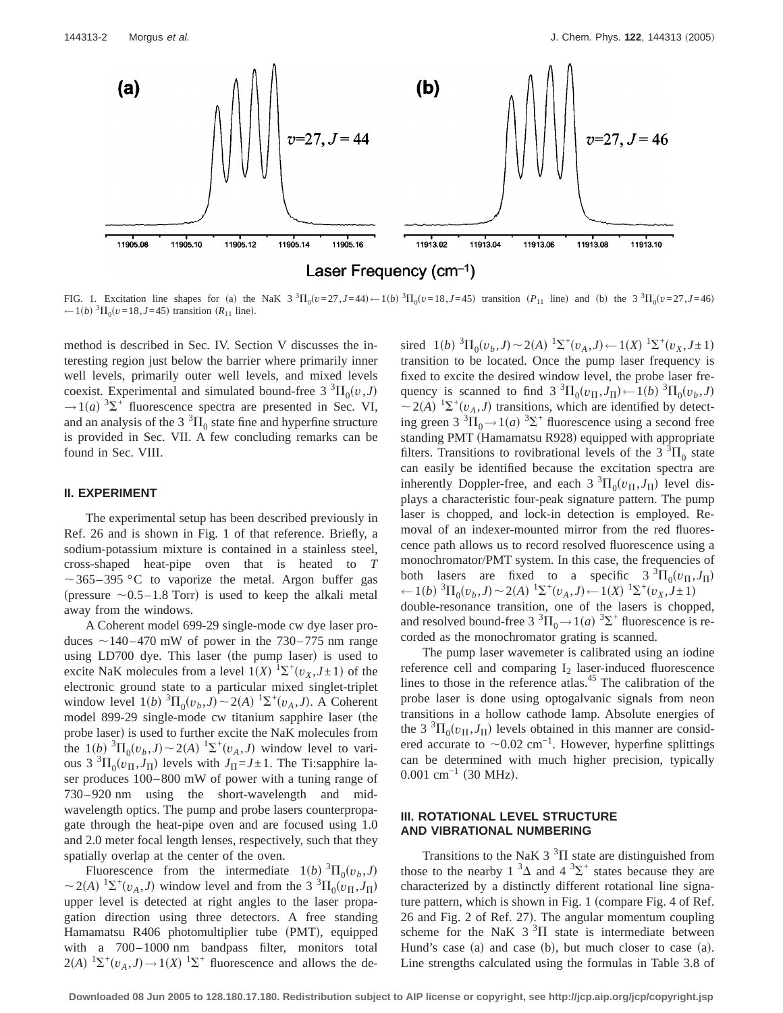

Laser Frequency  $(cm^{-1})$ 

FIG. 1. Excitation line shapes for (a) the NaK 3<sup>3</sup> $\Pi_0(v=27, J=44) \leftarrow 1(b)^3 \Pi_0(v=18, J=45)$  transition ( $P_{11}$  line) and (b) the 3<sup>3</sup> $\Pi_0(v=27, J=46)$ ← 1(*b*)  ${}^{3}$  $\Pi$ <sub>0</sub>(*v*=18,*J*=45) transition (*R*<sub>11</sub> line).

method is described in Sec. IV. Section V discusses the interesting region just below the barrier where primarily inner well levels, primarily outer well levels, and mixed levels coexist. Experimental and simulated bound-free 3  ${}^{3} \Pi_{0}(v, J)$  $\rightarrow$ 1(*a*) <sup>3</sup> $\Sigma$ <sup>+</sup> fluorescence spectra are presented in Sec. VI, and an analysis of the 3  ${}^{3}\Pi_{0}$  state fine and hyperfine structure is provided in Sec. VII. A few concluding remarks can be found in Sec. VIII.

#### **II. EXPERIMENT**

The experimental setup has been described previously in Ref. 26 and is shown in Fig. 1 of that reference. Briefly, a sodium-potassium mixture is contained in a stainless steel, cross-shaped heat-pipe oven that is heated to *T*  $\sim$ 365–395 °C to vaporize the metal. Argon buffer gas (pressure  $\sim$  0.5–1.8 Torr) is used to keep the alkali metal away from the windows.

A Coherent model 699-29 single-mode cw dye laser produces  $\sim$ 140–470 mW of power in the 730–775 nm range using LD700 dye. This laser (the pump laser) is used to excite NaK molecules from a level  $1(X)$   ${}^{1}\Sigma^{+}(v_X, J \pm 1)$  of the electronic ground state to a particular mixed singlet-triplet window level  $1(b)$   ${}^{3}\Pi_{0}(v_{b}, J) \sim 2(A)$   ${}^{1}\Sigma^{+}(v_{A}, J)$ . A Coherent model 899-29 single-mode cw titanium sapphire laser (the probe laser) is used to further excite the NaK molecules from the  $1(b)$   ${}^{3}\Pi_{0}(v_{b}, J) \sim 2(A)$   ${}^{1}\Sigma^{+}(v_{A}, J)$  window level to various  $3 \text{ }^{3}\Pi_{0}(v_{\Pi},J_{\Pi})$  levels with  $J_{\Pi} = J \pm 1$ . The Ti:sapphire laser produces 100–800 mW of power with a tuning range of 730–920 nm using the short-wavelength and midwavelength optics. The pump and probe lasers counterpropagate through the heat-pipe oven and are focused using 1.0 and 2.0 meter focal length lenses, respectively, such that they spatially overlap at the center of the oven.

Fluorescence from the intermediate  $1(b)$  <sup>3</sup> $\Pi_0(v_b, J)$  $\sim$  2(*A*) <sup>1</sup> $\Sigma$ <sup>+</sup>( $v_A$ ,*J*) window level and from the 3 <sup>3</sup> $\Pi_0$ ( $v_H$ ,*J*<sub>II</sub>) upper level is detected at right angles to the laser propagation direction using three detectors. A free standing Hamamatsu R406 photomultiplier tube (PMT), equipped with a 700–1000 nm bandpass filter, monitors total  $2(A)$   ${}^{1}\Sigma^{+}(v_A, J) \rightarrow 1(X)$   ${}^{1}\Sigma^{+}$  fluorescence and allows the de-

sired  $1(b)$   ${}^{3}\Pi_{0}(v_{b}, J) \sim 2(A)$   ${}^{1}\Sigma^{+}(v_{A}, J) \leftarrow 1(X)$   ${}^{1}\Sigma^{+}(v_{X}, J \pm 1)$ transition to be located. Once the pump laser frequency is fixed to excite the desired window level, the probe laser frequency is scanned to find 3  ${}^{3}\Pi_{0}(v_{\Pi},J_{\Pi}) \leftarrow 1(b) {}^{3}\Pi_{0}(v_{b},J)$  $\sim$  2(*A*) <sup>1</sup> $\Sigma$ <sup>+</sup>( $v_A$ ,*J*) transitions, which are identified by detecting green 3<sup>3</sup> $\Pi_0 \rightarrow 1(a)$ <sup>3</sup> $\Sigma^+$  fluorescence using a second free standing PMT (Hamamatsu R928) equipped with appropriate filters. Transitions to rovibrational levels of the 3  ${}^{3}$  $\Pi_{0}$  state can easily be identified because the excitation spectra are inherently Doppler-free, and each  $3 \text{ }^{3}\Pi_{0}(v_{\text{H}}, J_{\text{H}})$  level displays a characteristic four-peak signature pattern. The pump laser is chopped, and lock-in detection is employed. Removal of an indexer-mounted mirror from the red fluorescence path allows us to record resolved fluorescence using a monochromator/PMT system. In this case, the frequencies of both lasers are fixed to a specific  $3 \text{ }^{3} \Pi_{0}(v_{\Pi}, J_{\Pi})$  $\leftarrow$  1(*b*) <sup>3</sup> $\Pi_0(v_b, J) \sim 2(A)$  <sup>1</sup> $\Sigma^+(v_A, J) \leftarrow 1(X)$  <sup>1</sup> $\Sigma^+(v_X, J \pm 1)$ double-resonance transition, one of the lasers is chopped, and resolved bound-free 3  ${}^{3}\Pi_{0} \rightarrow 1(a)$   ${}^{3}\Sigma^{+}$  fluorescence is recorded as the monochromator grating is scanned.

The pump laser wavemeter is calibrated using an iodine reference cell and comparing  $I_2$  laser-induced fluorescence lines to those in the reference atlas.<sup>45</sup> The calibration of the probe laser is done using optogalvanic signals from neon transitions in a hollow cathode lamp. Absolute energies of the 3<sup>3</sup> $\Pi_0$ ( $v_\Pi$ , $J_\Pi$ ) levels obtained in this manner are considered accurate to  $\sim$ 0.02 cm<sup>-1</sup>. However, hyperfine splittings can be determined with much higher precision, typically  $0.001$  cm<sup>-1</sup> (30 MHz).

# **III. ROTATIONAL LEVEL STRUCTURE AND VIBRATIONAL NUMBERING**

Transitions to the NaK 3<sup>3</sup> $\Pi$  state are distinguished from those to the nearby  $1 \, 3\Delta$  and  $4 \, 3\Sigma^+$  states because they are characterized by a distinctly different rotational line signature pattern, which is shown in Fig. 1 (compare Fig. 4 of Ref.  $26$  and Fig.  $2$  of Ref.  $27$ ). The angular momentum coupling scheme for the NaK  $3<sup>3</sup>$ II state is intermediate between Hund's case (a) and case (b), but much closer to case (a). Line strengths calculated using the formulas in Table 3.8 of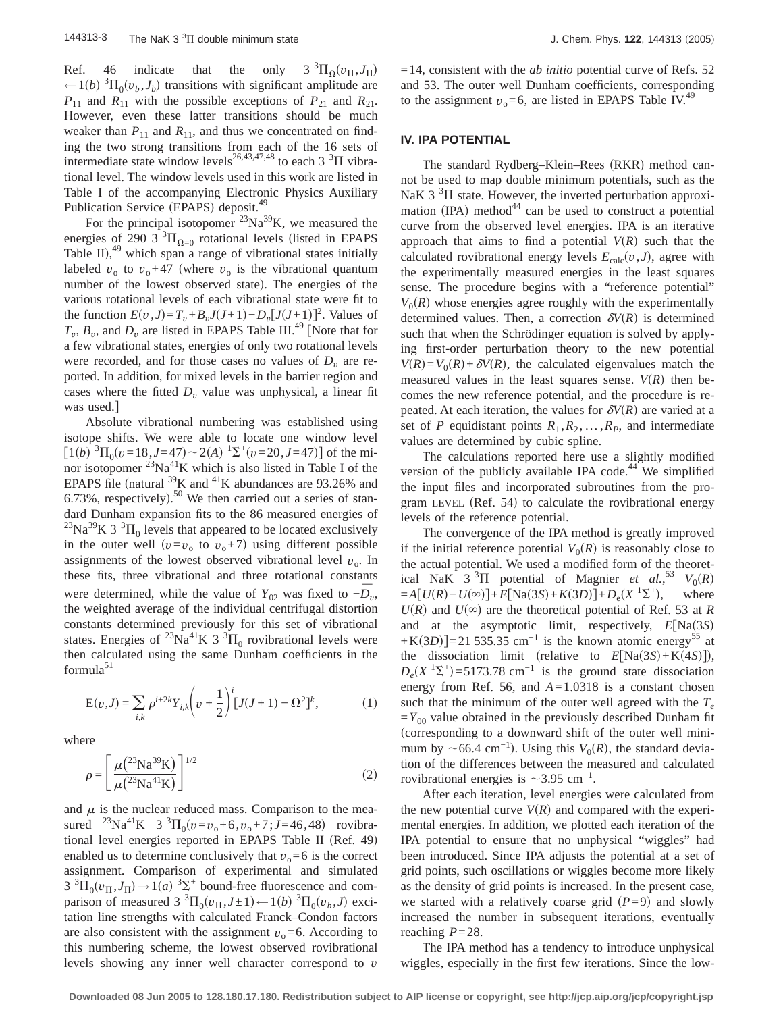Ref. 46 indicate that the only  $3 \text{ }^{3}\Pi_{\Omega}(v_{\Pi},J_{\Pi})$  $\leftarrow$  1(*b*) <sup>3</sup> $\Pi_0(v_b, J_b)$  transitions with significant amplitude are  $P_{11}$  and  $R_{11}$  with the possible exceptions of  $P_{21}$  and  $R_{21}$ . However, even these latter transitions should be much weaker than  $P_{11}$  and  $R_{11}$ , and thus we concentrated on finding the two strong transitions from each of the 16 sets of intermediate state window levels<sup>26,43,47,48</sup> to each 3<sup>3</sup> $\Pi$  vibrational level. The window levels used in this work are listed in Table I of the accompanying Electronic Physics Auxiliary Publication Service (EPAPS) deposit.<sup>49</sup>

For the principal isotopomer  $23Na^{39}K$ , we measured the energies of 290  $3^3\Pi_{\Omega=0}$  rotational levels (listed in EPAPS Table II), $49$  which span a range of vibrational states initially labeled  $v_0$  to  $v_0+47$  (where  $v_0$  is the vibrational quantum number of the lowest observed state). The energies of the various rotational levels of each vibrational state were fit to the function  $E(v, J) = T_v + B_v J(J+1) - D_v [J(J+1)]^2$ . Values of  $T_v$ ,  $B_v$ , and  $D_v$  are listed in EPAPS Table III.<sup>49</sup> [Note that for a few vibrational states, energies of only two rotational levels were recorded, and for those cases no values of  $D<sub>v</sub>$  are reported. In addition, for mixed levels in the barrier region and cases where the fitted  $D_v$  value was unphysical, a linear fit was used.

Absolute vibrational numbering was established using isotope shifts. We were able to locate one window level  $\left[1(b)^{3}\Pi_{0}(v=18, J=47) \sim 2(A)^{1}\Sigma^{+}(v=20, J=47)\right]$  of the minor isotopomer  $^{23}Na^{41}K$  which is also listed in Table I of the EPAPS file (natural  $39K$  and  $41K$  abundances are 93.26% and 6.73%, respectively).<sup>50</sup> We then carried out a series of standard Dunham expansion fits to the 86 measured energies of <sup>23</sup>Na<sup>39</sup>K 3<sup>3</sup> $\Pi$ <sub>0</sub> levels that appeared to be located exclusively in the outer well  $(v=v_0$  to  $v_0+7$ ) using different possible assignments of the lowest observed vibrational level  $v_0$ . In these fits, three vibrational and three rotational constants were determined, while the value of  $Y_{02}$  was fixed to  $-\overline{D}_v$ , the weighted average of the individual centrifugal distortion constants determined previously for this set of vibrational states. Energies of <sup>23</sup>Na<sup>41</sup>K 3<sup>3</sup> $\Pi$ <sub>0</sub> rovibrational levels were then calculated using the same Dunham coefficients in the  $formula<sup>51</sup>$ 

$$
E(v,J) = \sum_{i,k} \rho^{i+2k} Y_{i,k} \left(v + \frac{1}{2}\right)^i [J(J+1) - \Omega^2]^k, \tag{1}
$$

where

$$
\rho = \left[ \frac{\mu(^{23}\text{Na}^{39}\text{K})}{\mu(^{23}\text{Na}^{41}\text{K})} \right]^{1/2} \tag{2}
$$

and  $\mu$  is the nuclear reduced mass. Comparison to the measured <sup>23</sup>Na<sup>41</sup>K 3<sup>3</sup> $\Pi_0(v=v_0+6, v_0+7; J=46, 48)$  rovibrational level energies reported in EPAPS Table II (Ref. 49) enabled us to determine conclusively that  $v_0 = 6$  is the correct assignment. Comparison of experimental and simulated  $3 \text{ } ^3\text{H}_0(v_\text{II},J_\text{II}) \rightarrow 1(a) \text{ } ^3\text{S}^+$  bound-free fluorescence and comparison of measured  $3 \text{ }^{3}\Pi_{0}(v_{\Pi}, J \pm 1) \leftarrow 1(b) \text{ }^{3}\Pi_{0}(v_{b}, J)$  excitation line strengths with calculated Franck–Condon factors are also consistent with the assignment  $v_0 = 6$ . According to this numbering scheme, the lowest observed rovibrational levels showing any inner well character correspond to *v*

=14, consistent with the *ab initio* potential curve of Refs. 52 and 53. The outer well Dunham coefficients, corresponding to the assignment  $v_0 = 6$ , are listed in EPAPS Table IV.<sup>49</sup>

#### **IV. IPA POTENTIAL**

The standard Rydberg–Klein–Rees (RKR) method cannot be used to map double minimum potentials, such as the NaK 3 $3\overline{1}$  state. However, the inverted perturbation approximation (IPA) method<sup>44</sup> can be used to construct a potential curve from the observed level energies. IPA is an iterative approach that aims to find a potential  $V(R)$  such that the calculated rovibrational energy levels  $E_{\text{calc}}(v, J)$ , agree with the experimentally measured energies in the least squares sense. The procedure begins with a "reference potential"  $V_0(R)$  whose energies agree roughly with the experimentally determined values. Then, a correction  $\delta V(R)$  is determined such that when the Schrödinger equation is solved by applying first-order perturbation theory to the new potential  $V(R) = V_0(R) + \delta V(R)$ , the calculated eigenvalues match the measured values in the least squares sense.  $V(R)$  then becomes the new reference potential, and the procedure is repeated. At each iteration, the values for  $\delta V(R)$  are varied at a set of *P* equidistant points  $R_1, R_2, \ldots, R_p$ , and intermediate values are determined by cubic spline.

The calculations reported here use a slightly modified version of the publicly available IPA code. $44$  We simplified the input files and incorporated subroutines from the program LEVEL (Ref. 54) to calculate the rovibrational energy levels of the reference potential.

The convergence of the IPA method is greatly improved if the initial reference potential  $V_0(R)$  is reasonably close to the actual potential. We used a modified form of the theoretical NaK  $3 \text{ }^{3}\Pi$  potential of Magnier *et al.*<sup>53</sup>  $V_0(R)$  $= A[U(R) - U(\infty)] + E[Na(3S) + K(3D)] + D_e(X^{-1}\Sigma^+),$  where  $U(R)$  and  $U(\infty)$  are the theoretical potential of Ref. 53 at *R* and at the asymptotic limit, respectively,  $E[Na(3S)]$  $+K(3D)$  = 21 535.35 cm<sup>-1</sup> is the known atomic energy<sup>55</sup> at the dissociation limit (relative to  $E[Na(3S) + K(4S)]$ ),  $D_e(X<sup>1</sup>\Sigma<sup>+</sup>)$ =5173.78 cm<sup>-1</sup> is the ground state dissociation energy from Ref. 56, and *A*=1.0318 is a constant chosen such that the minimum of the outer well agreed with the  $T_e$  $=Y_{00}$  value obtained in the previously described Dunham fit (corresponding to a downward shift of the outer well minimum by  $\sim$ 66.4 cm<sup>-1</sup>). Using this *V*<sub>0</sub>(*R*), the standard deviation of the differences between the measured and calculated rovibrational energies is  $\sim$ 3.95 cm<sup>-1</sup>.

After each iteration, level energies were calculated from the new potential curve  $V(R)$  and compared with the experimental energies. In addition, we plotted each iteration of the IPA potential to ensure that no unphysical "wiggles" had been introduced. Since IPA adjusts the potential at a set of grid points, such oscillations or wiggles become more likely as the density of grid points is increased. In the present case, we started with a relatively coarse grid  $(P=9)$  and slowly increased the number in subsequent iterations, eventually reaching *P*=28.

The IPA method has a tendency to introduce unphysical wiggles, especially in the first few iterations. Since the low-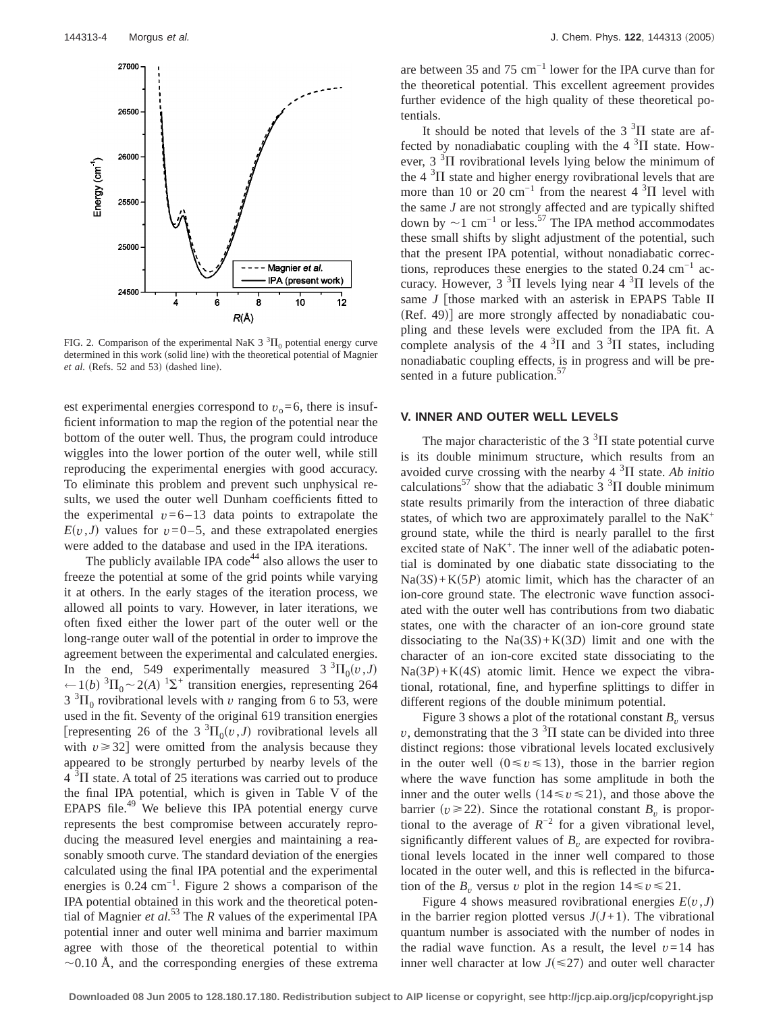

FIG. 2. Comparison of the experimental NaK  $3 \text{ }^{3}\text{H}_0$  potential energy curve determined in this work (solid line) with the theoretical potential of Magnier *et al.* (Refs. 52 and 53) (dashed line).

est experimental energies correspond to  $v_0 = 6$ , there is insufficient information to map the region of the potential near the bottom of the outer well. Thus, the program could introduce wiggles into the lower portion of the outer well, while still reproducing the experimental energies with good accuracy. To eliminate this problem and prevent such unphysical results, we used the outer well Dunham coefficients fitted to the experimental  $v=6-13$  data points to extrapolate the  $E(v, J)$  values for  $v=0-5$ , and these extrapolated energies were added to the database and used in the IPA iterations.

The publicly available IPA code<sup>44</sup> also allows the user to freeze the potential at some of the grid points while varying it at others. In the early stages of the iteration process, we allowed all points to vary. However, in later iterations, we often fixed either the lower part of the outer well or the long-range outer wall of the potential in order to improve the agreement between the experimental and calculated energies. In the end, 549 experimentally measured  $3 \space ^3\Pi_0(v,J)$  $\leftarrow$ 1(*b*) <sup>3</sup> $\Pi$ <sub>0</sub> ~ 2(*A*) <sup>1</sup> $\Sigma$ <sup>+</sup> transition energies, representing 264  $3 \text{ }^{3}\Pi_{0}$  rovibrational levels with *v* ranging from 6 to 53, were used in the fit. Seventy of the original 619 transition energies [representing 26 of the 3<sup>3</sup> $\Pi_0(v, J)$  rovibrational levels all with  $v \ge 32$  were omitted from the analysis because they appeared to be strongly perturbed by nearby levels of the  $4 \text{ }^{3}$ II state. A total of 25 iterations was carried out to produce the final IPA potential, which is given in Table V of the EPAPS file. $49$  We believe this IPA potential energy curve represents the best compromise between accurately reproducing the measured level energies and maintaining a reasonably smooth curve. The standard deviation of the energies calculated using the final IPA potential and the experimental energies is 0.24 cm−1. Figure 2 shows a comparison of the IPA potential obtained in this work and the theoretical potential of Magnier *et al.*<sup>53</sup> The *R* values of the experimental IPA potential inner and outer well minima and barrier maximum agree with those of the theoretical potential to within  $\sim$ 0.10 Å, and the corresponding energies of these extrema are between 35 and 75 cm−1 lower for the IPA curve than for the theoretical potential. This excellent agreement provides further evidence of the high quality of these theoretical potentials.

It should be noted that levels of the  $3<sup>3</sup>\Pi$  state are affected by nonadiabatic coupling with the  $4~^3\Pi$  state. However,  $3 \text{ }^{3}$  $\Pi$  rovibrational levels lying below the minimum of the 4  $3\Pi$  state and higher energy rovibrational levels that are more than 10 or 20 cm<sup>-1</sup> from the nearest 4  $\rm{^{3}H}$  level with the same *J* are not strongly affected and are typically shifted down by  $\sim$ 1 cm<sup>-1</sup> or less.<sup>57</sup> The IPA method accommodates these small shifts by slight adjustment of the potential, such that the present IPA potential, without nonadiabatic corrections, reproduces these energies to the stated  $0.24 \text{ cm}^{-1}$  accuracy. However,  $3 \text{ }^{3}\Pi$  levels lying near  $4 \text{ }^{3}\Pi$  levels of the same  $J$  [those marked with an asterisk in EPAPS Table II  $(Ref. 49)$ ] are more strongly affected by nonadiabatic coupling and these levels were excluded from the IPA fit. A complete analysis of the  $4 \times 3\Pi$  and  $3 \times 3\Pi$  states, including nonadiabatic coupling effects, is in progress and will be presented in a future publication.<sup>57</sup>

# **V. INNER AND OUTER WELL LEVELS**

The major characteristic of the  $3<sup>3</sup>$ II state potential curve is its double minimum structure, which results from an avoided curve crossing with the nearby  $4 \, \mathrm{^{3} \Pi}$  state. Ab initio calculations<sup>57</sup> show that the adiabatic  $3^{3}$   $\Pi$  double minimum state results primarily from the interaction of three diabatic states, of which two are approximately parallel to the  $N a K<sup>+</sup>$ ground state, while the third is nearly parallel to the first excited state of NaK<sup>+</sup>. The inner well of the adiabatic potential is dominated by one diabatic state dissociating to the  $Na(3S) + K(5P)$  atomic limit, which has the character of an ion-core ground state. The electronic wave function associated with the outer well has contributions from two diabatic states, one with the character of an ion-core ground state dissociating to the  $Na(3S) + K(3D)$  limit and one with the character of an ion-core excited state dissociating to the  $Na(3P) + K(4S)$  atomic limit. Hence we expect the vibrational, rotational, fine, and hyperfine splittings to differ in different regions of the double minimum potential.

Figure 3 shows a plot of the rotational constant  $B<sub>v</sub>$  versus  $v$ , demonstrating that the 3<sup>3</sup> $\Pi$  state can be divided into three distinct regions: those vibrational levels located exclusively in the outer well  $(0 \le v \le 13)$ , those in the barrier region where the wave function has some amplitude in both the inner and the outer wells  $(14 \le v \le 21)$ , and those above the barrier ( $v \ge 22$ ). Since the rotational constant  $B_v$  is proportional to the average of  $R^{-2}$  for a given vibrational level, significantly different values of  $B<sub>v</sub>$  are expected for rovibrational levels located in the inner well compared to those located in the outer well, and this is reflected in the bifurcation of the  $B_v$  versus *v* plot in the region  $14 \le v \le 21$ .

Figure 4 shows measured rovibrational energies  $E(v, J)$ in the barrier region plotted versus  $J(J+1)$ . The vibrational quantum number is associated with the number of nodes in the radial wave function. As a result, the level  $v=14$  has inner well character at low  $J(\leq 27)$  and outer well character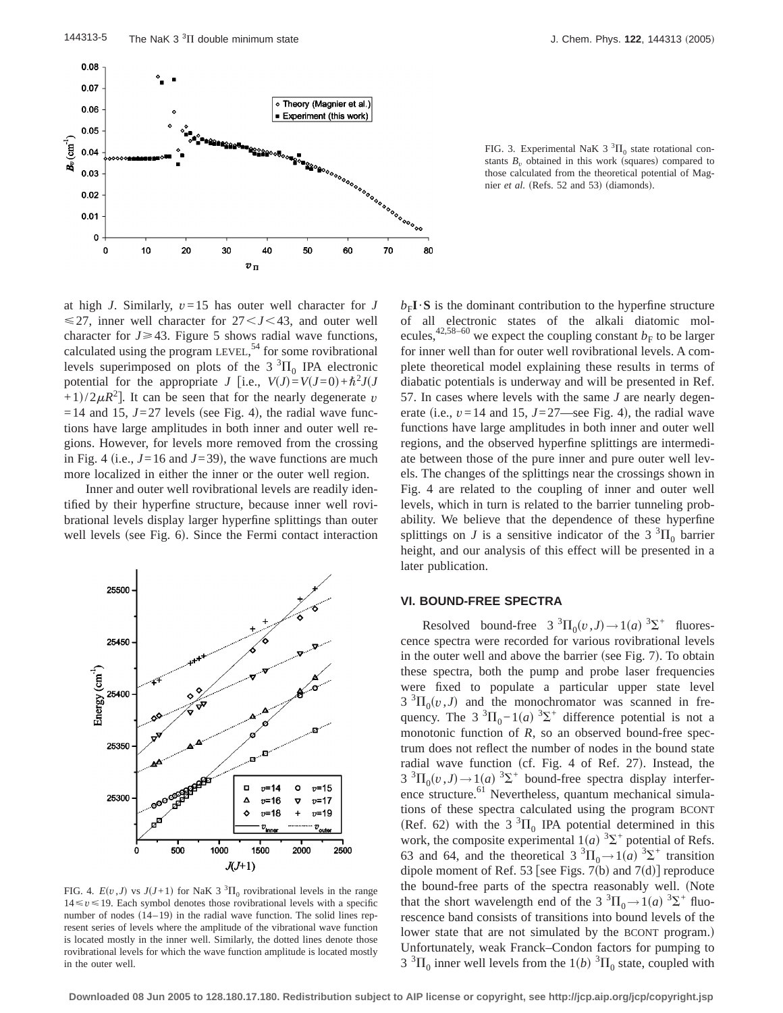

FIG. 3. Experimental NaK 3  ${}^{3}\Pi_{0}$  state rotational constants  $B_v$  obtained in this work (squares) compared to those calculated from the theoretical potential of Magnier *et al.* (Refs. 52 and 53) (diamonds).

at high *J*. Similarly, *v*=15 has outer well character for *J*  $\leq$ 27, inner well character for 27 $<$ J $<$ 43, and outer well character for  $J \geq 43$ . Figure 5 shows radial wave functions, calculated using the program LEVEL,<sup>54</sup> for some rovibrational levels superimposed on plots of the  $3 \text{ }^{3}\text{H}_{0}$  IPA electronic potential for the appropriate *J* [i.e.,  $V(J) = V(J=0) + \hbar^2 J(J$  $+1/2\mu R^2$ . It can be seen that for the nearly degenerate *v*  $=$  14 and 15,  $J=27$  levels (see Fig. 4), the radial wave functions have large amplitudes in both inner and outer well regions. However, for levels more removed from the crossing in Fig. 4 (i.e.,  $J=16$  and  $J=39$ ), the wave functions are much more localized in either the inner or the outer well region.

Inner and outer well rovibrational levels are readily identified by their hyperfine structure, because inner well rovibrational levels display larger hyperfine splittings than outer well levels (see Fig. 6). Since the Fermi contact interaction



FIG. 4.  $E(v, J)$  vs  $J(J+1)$  for NaK 3<sup>3</sup> $\Pi_0$  rovibrational levels in the range  $14 \le v \le 19$ . Each symbol denotes those rovibrational levels with a specific number of nodes  $(14–19)$  in the radial wave function. The solid lines represent series of levels where the amplitude of the vibrational wave function is located mostly in the inner well. Similarly, the dotted lines denote those rovibrational levels for which the wave function amplitude is located mostly in the outer well.

 $b_F I \cdot S$  is the dominant contribution to the hyperfine structure of all electronic states of the alkali diatomic molecules,<sup>42,58–60</sup> we expect the coupling constant  $b_F$  to be larger for inner well than for outer well rovibrational levels. A complete theoretical model explaining these results in terms of diabatic potentials is underway and will be presented in Ref. 57. In cases where levels with the same *J* are nearly degenerate (i.e.,  $v=14$  and 15,  $J=27$ —see Fig. 4), the radial wave functions have large amplitudes in both inner and outer well regions, and the observed hyperfine splittings are intermediate between those of the pure inner and pure outer well levels. The changes of the splittings near the crossings shown in Fig. 4 are related to the coupling of inner and outer well levels, which in turn is related to the barrier tunneling probability. We believe that the dependence of these hyperfine splittings on *J* is a sensitive indicator of the 3  ${}^{3}$  $\Pi_{0}$  barrier height, and our analysis of this effect will be presented in a later publication.

#### **VI. BOUND-FREE SPECTRA**

Resolved bound-free  $3^{3}\Pi_{0}(v, J) \rightarrow 1(a)^{3}\Sigma^{+}$  fluorescence spectra were recorded for various rovibrational levels in the outer well and above the barrier (see Fig. 7). To obtain these spectra, both the pump and probe laser frequencies were fixed to populate a particular upper state level  $3 \text{ }^{3}\Pi_{0}(v, J)$  and the monochromator was scanned in frequency. The  $3 \text{ }^{3}\Pi_{0} - 1(a) \text{ }^{3}\Sigma^{+}$  difference potential is not a monotonic function of *R*, so an observed bound-free spectrum does not reflect the number of nodes in the bound state radial wave function (cf. Fig. 4 of Ref. 27). Instead, the  $3 \text{ }^{3}\Pi_{0}(v, J) \rightarrow 1(a) \text{ }^{3}\Sigma^{+}$  bound-free spectra display interference structure.<sup>61</sup> Nevertheless, quantum mechanical simulations of these spectra calculated using the program BCONT (Ref. 62) with the 3<sup>3</sup> $\Pi$ <sub>0</sub> IPA potential determined in this work, the composite experimental  $1(a)$ <sup>3</sup> $\Sigma$ <sup>+</sup> potential of Refs. 63 and 64, and the theoretical 3<sup>3</sup> $\Pi_0 \rightarrow 1$  *(a)* <sup>3</sup> $\Sigma^+$  transition dipole moment of Ref. 53 [see Figs. 7(b) and 7(d)] reproduce the bound-free parts of the spectra reasonably well. (Note that the short wavelength end of the 3<sup>3</sup> $\Pi_0 \rightarrow 1$  *(a)*<sup>3</sup> $\Sigma^+$  fluorescence band consists of transitions into bound levels of the lower state that are not simulated by the BCONT program.) Unfortunately, weak Franck–Condon factors for pumping to  $3 \text{ }^{3}\Pi_{0}$  inner well levels from the 1(*b*)  $^{3}\Pi_{0}$  state, coupled with

**Downloaded 08 Jun 2005 to 128.180.17.180. Redistribution subject to AIP license or copyright, see http://jcp.aip.org/jcp/copyright.jsp**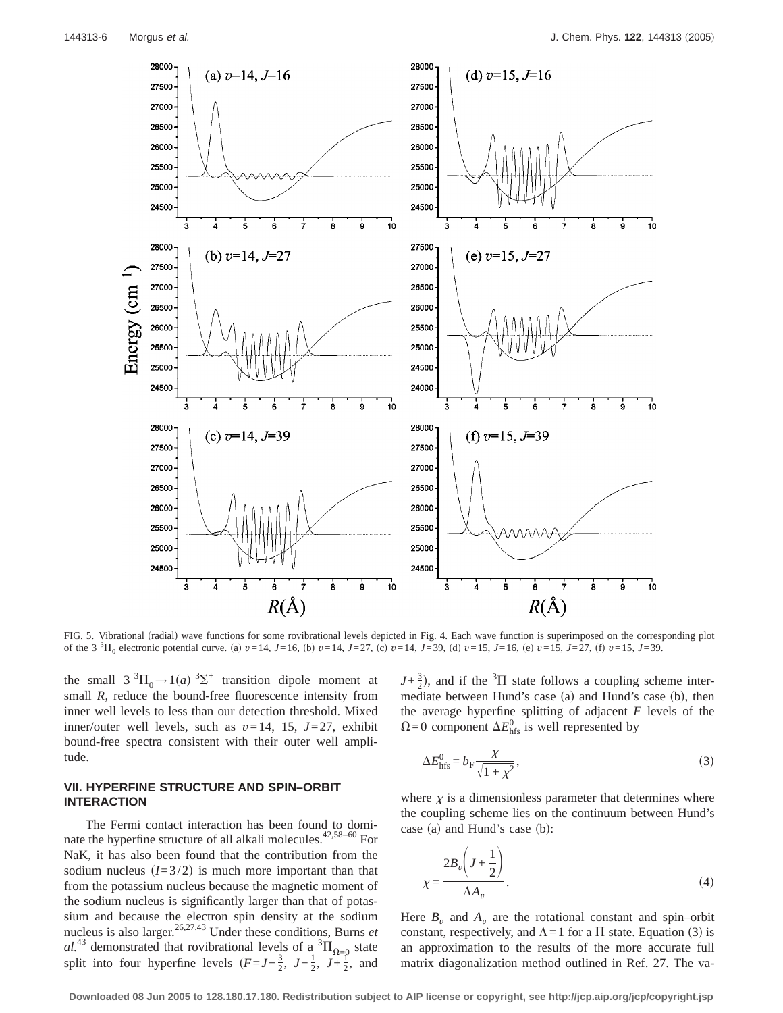

FIG. 5. Vibrational (radial) wave functions for some rovibrational levels depicted in Fig. 4. Each wave function is superimposed on the corresponding plot of the 3<sup>3</sup>H<sub>0</sub> electronic potential curve. (a)  $v=14$ ,  $J=16$ , (b)  $v=14$ ,  $J=27$ , (c)  $v=14$ ,  $J=39$ , (d)  $v=15$ ,  $J=16$ , (e)  $v=15$ ,  $J=27$ , (f)  $v=15$ ,  $J=39$ .

the small  $3 \text{ }^{3}\Pi_{0} \rightarrow 1(a) \text{ }^{3}\Sigma^{+}$  transition dipole moment at small *R*, reduce the bound-free fluorescence intensity from inner well levels to less than our detection threshold. Mixed inner/outer well levels, such as *v*=14, 15, *J*=27, exhibit bound-free spectra consistent with their outer well amplitude.

# **VII. HYPERFINE STRUCTURE AND SPIN–ORBIT INTERACTION**

The Fermi contact interaction has been found to dominate the hyperfine structure of all alkali molecules.<sup>42,58-60</sup> For NaK, it has also been found that the contribution from the sodium nucleus  $(I=3/2)$  is much more important than that from the potassium nucleus because the magnetic moment of the sodium nucleus is significantly larger than that of potassium and because the electron spin density at the sodium nucleus is also larger.26,27,43 Under these conditions, Burns *et*  $aL^{43}$  demonstrated that rovibrational levels of a  ${}^{3}H_{\Omega=0}$  state split into four hyperfine levels  $(F=J-\frac{3}{2}, J-\frac{1}{2}, J+\frac{1}{2},$  and

 $J+\frac{3}{2}$ ), and if the <sup>3</sup> $\Pi$  state follows a coupling scheme intermediate between Hund's case (a) and Hund's case (b), then the average hyperfine splitting of adjacent *F* levels of the  $\Omega$ =0 component  $\Delta E_{\text{hfs}}^0$  is well represented by

$$
\Delta E_{\text{hfs}}^0 = b_{\text{F}} \frac{\chi}{\sqrt{1 + \chi^2}},\tag{3}
$$

where  $\chi$  is a dimensionless parameter that determines where the coupling scheme lies on the continuum between Hund's case (a) and Hund's case (b):

$$
\chi = \frac{2B_v \left( J + \frac{1}{2} \right)}{\Lambda A_v}.
$$
\n(4)

Here  $B_v$  and  $A_v$  are the rotational constant and spin–orbit constant, respectively, and  $\Lambda = 1$  for a  $\Pi$  state. Equation (3) is an approximation to the results of the more accurate full matrix diagonalization method outlined in Ref. 27. The va-

**Downloaded 08 Jun 2005 to 128.180.17.180. Redistribution subject to AIP license or copyright, see http://jcp.aip.org/jcp/copyright.jsp**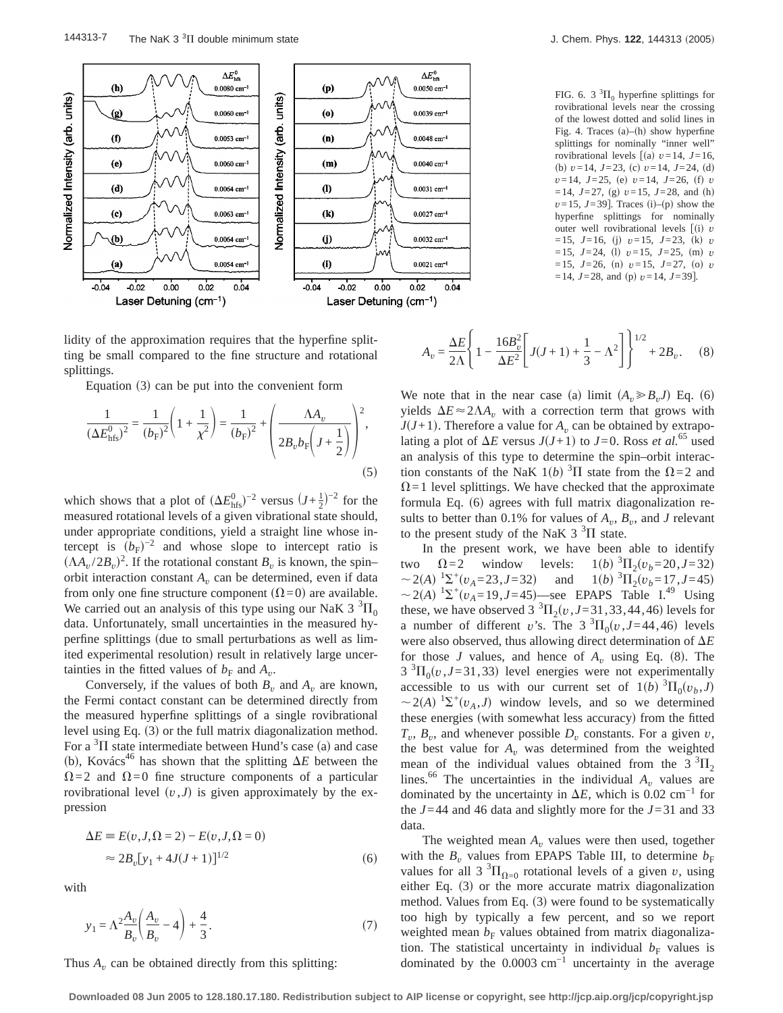

lidity of the approximation requires that the hyperfine splitting be small compared to the fine structure and rotational splittings.

Equation  $(3)$  can be put into the convenient form

$$
\frac{1}{(\Delta E_{\text{hfs}}^0)^2} = \frac{1}{(b_{\text{F}})^2} \left( 1 + \frac{1}{\chi^2} \right) = \frac{1}{(b_{\text{F}})^2} + \left( \frac{\Delta A_v}{2B_v b_{\text{F}} \left( J + \frac{1}{2} \right)} \right)^2,
$$
\n(5)

which shows that a plot of  $(\Delta E_{\text{hfs}}^0)^{-2}$  versus  $(J + \frac{1}{2})^{-2}$  for the measured rotational levels of a given vibrational state should, under appropriate conditions, yield a straight line whose intercept is  $(b_F)^{-2}$  and whose slope to intercept ratio is  $(\Lambda A_v / 2B_v)^2$ . If the rotational constant  $B_v$  is known, the spin– orbit interaction constant  $A<sub>v</sub>$  can be determined, even if data from only one fine structure component  $(\Omega=0)$  are available. We carried out an analysis of this type using our NaK 3  ${}^{3}$  $\Pi_{0}$ data. Unfortunately, small uncertainties in the measured hyperfine splittings (due to small perturbations as well as limited experimental resolution) result in relatively large uncertainties in the fitted values of  $b_F$  and  $A_v$ .

Conversely, if the values of both  $B<sub>v</sub>$  and  $A<sub>v</sub>$  are known, the Fermi contact constant can be determined directly from the measured hyperfine splittings of a single rovibrational level using Eq.  $(3)$  or the full matrix diagonalization method. For a  ${}^{3}$ II state intermediate between Hund's case (a) and case (b), Kovács<sup>46</sup> has shown that the splitting  $\Delta E$  between the  $\Omega$ =2 and  $\Omega$ =0 fine structure components of a particular rovibrational level  $(v, J)$  is given approximately by the expression

$$
\Delta E = E(v, J, \Omega = 2) - E(v, J, \Omega = 0)
$$
  

$$
\approx 2B_v[y_1 + 4J(J+1)]^{1/2}
$$
 (6)

with

$$
y_1 = \Lambda^2 \frac{A_v}{B_v} \left( \frac{A_v}{B_v} - 4 \right) + \frac{4}{3}.
$$
 (7)

Thus  $A_v$  can be obtained directly from this splitting:

FIG. 6. 3  ${}^{3}\Pi_{0}$  hyperfine splittings for rovibrational levels near the crossing of the lowest dotted and solid lines in Fig. 4. Traces  $(a)$ – $(h)$  show hyperfine splittings for nominally "inner well" rovibrational levels  $\int$ (a)  $v=14$ , *J*=16, (b)  $v=14$ ,  $J=23$ , (c)  $v=14$ ,  $J=24$ , (d)  $v=14$ ,  $J=25$ , (e)  $v=14$ ,  $J=26$ , (f) *v*  $=14$ ,  $J=27$ , (g)  $v=15$ ,  $J=28$ , and (h)  $v=15$ ,  $J=39$ ]. Traces (i)–(p) show the hyperfine splittings for nominally outer well rovibrational levels  $\int$ (i) *v*  $=15$ ,  $J=16$ , (j)  $v=15$ ,  $J=23$ , (k)  $v=15$  $=15$ ,  $J=24$ , (1)  $v=15$ ,  $J=25$ , (m)  $v$  $=15$ ,  $J=26$ , (n)  $v=15$ ,  $J=27$ , (o)  $v=15$  $=14$ ,  $J=28$ , and (p)  $v=14$ ,  $J=39$ ].

$$
A_v = \frac{\Delta E}{2\Lambda} \left\{ 1 - \frac{16B_v^2}{\Delta E^2} \left[ J(J+1) + \frac{1}{3} - \Lambda^2 \right] \right\}^{1/2} + 2B_v. \tag{8}
$$

We note that in the near case (a) limit  $(A_n \ge B_n J)$  Eq. (6) yields  $\Delta E \approx 2\Lambda A_v$ , with a correction term that grows with  $J(J+1)$ . Therefore a value for  $A<sub>v</sub>$  can be obtained by extrapolating a plot of  $\Delta E$  versus  $J(J+1)$  to  $J=0$ . Ross *et al.*<sup>65</sup> used an analysis of this type to determine the spin–orbit interaction constants of the NaK  $1(b)$  <sup>3</sup> $\Pi$  state from the  $\Omega$ =2 and  $\Omega$ =1 level splittings. We have checked that the approximate formula Eq.  $(6)$  agrees with full matrix diagonalization results to better than 0.1% for values of  $A_n$ ,  $B_n$ , and *J* relevant to the present study of the NaK  $3\text{ }^{3}\Pi$  state.

In the present work, we have been able to identify two  $\Omega = 2$  window levels:  $P_1(b)$ <sup>3</sup> $\Pi_2(v_b=20, J=32)$  $\sim$  2(*A*)  $\frac{1}{2}$ <sup>+</sup>(*v<sub>A</sub>*=23,*J*=32) and 1(*b*)<sup>3</sup>  $1(b)$ <sup>3</sup> $\Pi_2(v_b=17, J=45)$  $\sim$  2(A)  ${}^{1}\Sigma^{+}(v_{A} = 19, J = 45)$ —see EPAPS Table I.<sup>49</sup> Using these, we have observed 3  ${}^{3}\Pi_{2}(v, J=31, 33, 44, 46)$  levels for a number of different *v*'s. The  $3 \pi \cdot \cdot J = 44,46$  levels were also observed, thus allowing direct determination of  $\Delta E$ for those *J* values, and hence of  $A_v$  using Eq. (8). The  $3 \text{ }^{3}\Pi_{0}(v, J=31, 33)$  level energies were not experimentally accessible to us with our current set of  $1(b)$  <sup>3</sup> $\Pi_0(v_b, J)$  $\sim$  2(A) <sup>1</sup> $\Sigma$ <sup>+</sup>( $v_A$ ,*J*) window levels, and so we determined these energies (with somewhat less accuracy) from the fitted  $T_v$ ,  $B_v$ , and whenever possible  $D_v$  constants. For a given *v*, the best value for  $A_v$  was determined from the weighted mean of the individual values obtained from the  $3^{3}\Pi_{2}$ lines.<sup>66</sup> The uncertainties in the individual  $A_v$  values are dominated by the uncertainty in  $\Delta E$ , which is 0.02 cm<sup>-1</sup> for the  $J=44$  and 46 data and slightly more for the  $J=31$  and 33 data.

The weighted mean  $A_v$  values were then used, together with the  $B_v$  values from EPAPS Table III, to determine  $b_F$ values for all 3  ${}^{3}\Pi_{\Omega=0}$  rotational levels of a given *v*, using either Eq.  $(3)$  or the more accurate matrix diagonalization method. Values from Eq.  $(3)$  were found to be systematically too high by typically a few percent, and so we report weighted mean  $b_F$  values obtained from matrix diagonalization. The statistical uncertainty in individual  $b_F$  values is dominated by the 0.0003 cm−1 uncertainty in the average

**Downloaded 08 Jun 2005 to 128.180.17.180. Redistribution subject to AIP license or copyright, see http://jcp.aip.org/jcp/copyright.jsp**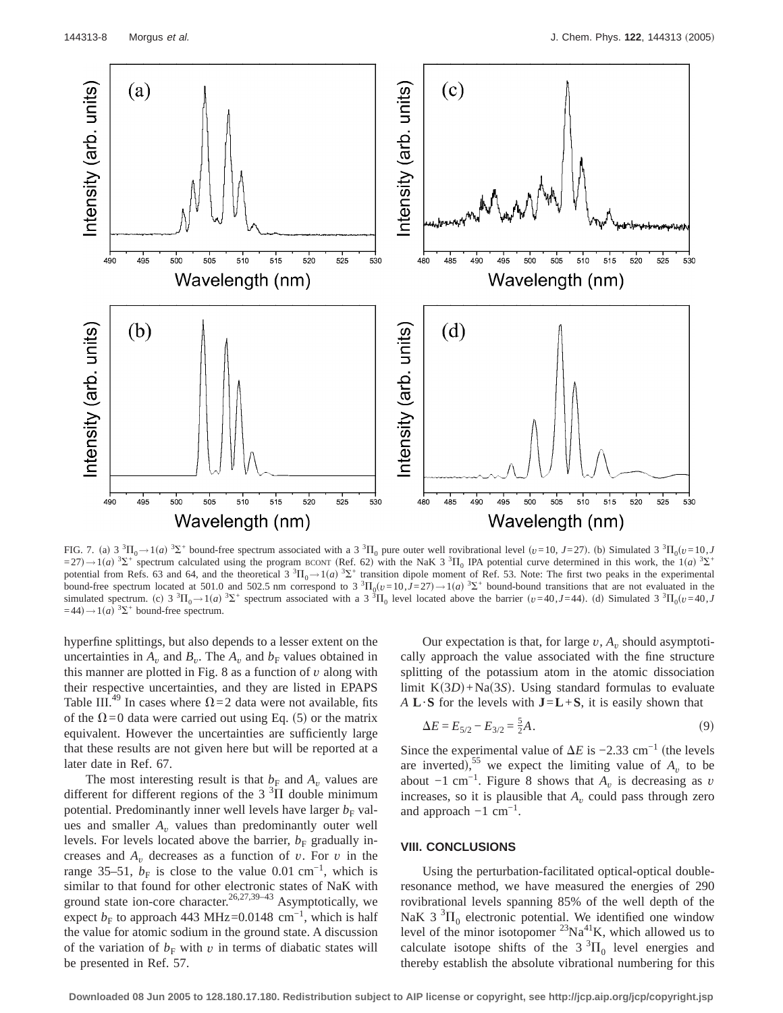

FIG. 7. (a)  $3^{3}\Pi_{0} \rightarrow 1$  (a)  $^{3}\Sigma^{+}$  bound-free spectrum associated with a 3  $^{3}\Pi_{0}$  pure outer well rovibrational level ( $v=10$ ,  $J=27$ ). (b) Simulated 3  $^{3}\Pi_{0}(v=10, J=2)$  $=27$ ) $\rightarrow$  1(a)  ${}^{3}\Sigma^{+}$  spectrum calculated using the program BCONT (Ref. 62) with the NaK 3  ${}^{3}\Pi_{0}$  IPA potential curve determined in this work, the 1(a)  ${}^{3}\Sigma^{+}$ potential from Refs. 63 and 64, and the theoretical  $3 \text{ }^{3}\Pi_{0} \rightarrow 1(a) \text{ }^{3}\Sigma^{+}$  transition dipole moment of Ref. 53. Note: The first two peaks in the experimental bound-free spectrum located at 501.0 and 502.5 nm correspond to 3  ${}^{3}H_{0}(v=10, J=27) \rightarrow 1(a) {}^{3}S^{+}$  bound-bound transitions that are not evaluated in the simulated spectrum. (c)  $3 \text{ }^3\Pi_0 \rightarrow 1$  (a)  $^3\Sigma^+$  spectrum associated with a  $3 \text{ }^3\Pi_0$  level located above the barrier  $(v=40, J=44)$ . (d) Simulated  $3 \text{ }^3\Pi_0 (v=40, J=44)$  $=44$ )  $\rightarrow$  1(*a*) <sup>3</sup> $\Sigma$ <sup>+</sup> bound-free spectrum.

hyperfine splittings, but also depends to a lesser extent on the uncertainties in  $A_v$  and  $B_v$ . The  $A_v$  and  $b_F$  values obtained in this manner are plotted in Fig.  $\theta$  as a function of  $\nu$  along with their respective uncertainties, and they are listed in EPAPS Table III.<sup>49</sup> In cases where  $\Omega$ =2 data were not available, fits of the  $\Omega$ =0 data were carried out using Eq. (5) or the matrix equivalent. However the uncertainties are sufficiently large that these results are not given here but will be reported at a later date in Ref. 67.

The most interesting result is that  $b_F$  and  $A_v$  values are different for different regions of the  $3<sup>3</sup>$ II double minimum potential. Predominantly inner well levels have larger  $b<sub>F</sub>$  values and smaller  $A_v$  values than predominantly outer well levels. For levels located above the barrier,  $b_F$  gradually increases and  $A_v$  decreases as a function of *v*. For *v* in the range 35–51,  $b_F$  is close to the value 0.01 cm<sup>-1</sup>, which is similar to that found for other electronic states of NaK with ground state ion-core character.<sup>26,27,39–43</sup> Asymptotically, we expect  $b_F$  to approach 443 MHz=0.0148 cm<sup>-1</sup>, which is half the value for atomic sodium in the ground state. A discussion of the variation of  $b_F$  with  $v$  in terms of diabatic states will be presented in Ref. 57.

Our expectation is that, for large  $v$ ,  $A<sub>v</sub>$  should asymptotically approach the value associated with the fine structure splitting of the potassium atom in the atomic dissociation limit  $K(3D)$ +Na $(3S)$ . Using standard formulas to evaluate *A* **L**·**S** for the levels with **J**=**L**+**S**, it is easily shown that

$$
\Delta E = E_{5/2} - E_{3/2} = \frac{5}{2}A. \tag{9}
$$

Since the experimental value of  $\Delta E$  is  $-2.33$  cm<sup>-1</sup> (the levels are inverted),<sup>55</sup> we expect the limiting value of  $A_v$  to be about  $-1$  cm<sup>-1</sup>. Figure 8 shows that  $A<sub>v</sub>$  is decreasing as *v* increases, so it is plausible that  $A<sub>v</sub>$  could pass through zero and approach  $-1$  cm<sup>-1</sup>.

### **VIII. CONCLUSIONS**

Using the perturbation-facilitated optical-optical doubleresonance method, we have measured the energies of 290 rovibrational levels spanning 85% of the well depth of the NaK 3 ${}^{3}$  $\Pi_{0}$  electronic potential. We identified one window level of the minor isotopomer  $23\text{Na}^{41}\text{K}$ , which allowed us to calculate isotope shifts of the  $3^{3}\Pi_{0}$  level energies and thereby establish the absolute vibrational numbering for this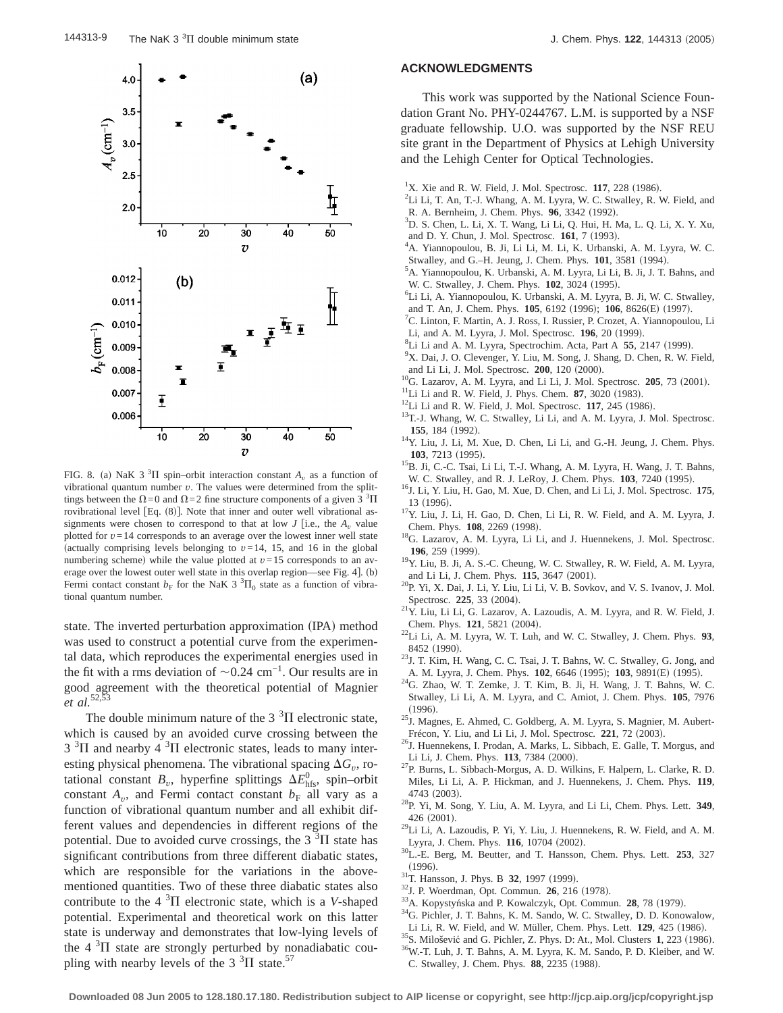

FIG. 8. (a) NaK 3<sup>3</sup>II spin–orbit interaction constant  $A_v$  as a function of vibrational quantum number *v*. The values were determined from the splittings between the  $\Omega$  = 0 and  $\Omega$  = 2 fine structure components of a given 3  $^3\Pi$ rovibrational level [Eq.  $(8)$ ]. Note that inner and outer well vibrational assignments were chosen to correspond to that at low  $J$  [i.e., the  $A<sub>v</sub>$  value plotted for  $v=14$  corresponds to an average over the lowest inner well state (actually comprising levels belonging to  $v=14$ , 15, and 16 in the global numbering scheme) while the value plotted at  $v=15$  corresponds to an average over the lowest outer well state in this overlap region—see Fig. 4].  $(b)$ Fermi contact constant  $b_F$  for the NaK 3<sup>3</sup> $\Pi_0$  state as a function of vibrational quantum number.

state. The inverted perturbation approximation (IPA) method was used to construct a potential curve from the experimental data, which reproduces the experimental energies used in the fit with a rms deviation of  $\sim$ 0.24 cm<sup>-1</sup>. Our results are in good agreement with the theoretical potential of Magnier *et al.*52,53

The double minimum nature of the 3  $\mathrm{^{3}}\Pi$  electronic state, which is caused by an avoided curve crossing between the  $3 \text{ }^{3}\Pi$  and nearby  $4 \text{ }^{3}\Pi$  electronic states, leads to many interesting physical phenomena. The vibrational spacing  $\Delta G_v$ , rotational constant  $B_v$ , hyperfine splittings  $\Delta E_{\text{hfs}}^0$ , spin–orbit constant  $A_v$ , and Fermi contact constant  $b_F$  all vary as a function of vibrational quantum number and all exhibit different values and dependencies in different regions of the potential. Due to avoided curve crossings, the  $3<sup>3</sup>\Pi$  state has significant contributions from three different diabatic states, which are responsible for the variations in the abovementioned quantities. Two of these three diabatic states also contribute to the  $4 \times 3\Pi$  electronic state, which is a *V*-shaped potential. Experimental and theoretical work on this latter state is underway and demonstrates that low-lying levels of the  $4 \text{ }^{3}\Pi$  state are strongly perturbed by nonadiabatic coupling with nearby levels of the 3  $\rm{^{3}}\Pi$  state.<sup>57</sup>

#### **ACKNOWLEDGMENTS**

This work was supported by the National Science Foundation Grant No. PHY-0244767. L.M. is supported by a NSF graduate fellowship. U.O. was supported by the NSF REU site grant in the Department of Physics at Lehigh University and the Lehigh Center for Optical Technologies.

- Li Li, T. An, T.-J. Whang, A. M. Lyyra, W. C. Stwalley, R. W. Field, and R. A. Bernheim, J. Chem. Phys. 96, 3342 (1992).
- D. S. Chen, L. Li, X. T. Wang, Li Li, Q. Hui, H. Ma, L. Q. Li, X. Y. Xu, and D. Y. Chun, J. Mol. Spectrosc. **161**, 7 (1993).
- A. Yiannopoulou, B. Ji, Li Li, M. Li, K. Urbanski, A. M. Lyyra, W. C. Stwalley, and G.-H. Jeung, J. Chem. Phys. **101**, 3581 (1994).
- <sup>5</sup>A. Yiannopoulou, K. Urbanski, A. M. Lyyra, Li Li, B. Ji, J. T. Bahns, and W. C. Stwalley, J. Chem. Phys. **102**, 3024 (1995).
- Li Li, A. Yiannopoulou, K. Urbanski, A. M. Lyyra, B. Ji, W. C. Stwalley, and T. An, J. Chem. Phys. **105**, 6192 (1996); **106**, 8626(E) (1997).
- <sup>7</sup>C. Linton, F. Martin, A. J. Ross, I. Russier, P. Crozet, A. Yiannopoulou, Li Li, and A. M. Lyyra, J. Mol. Spectrosc. **196**, 20 (1999).
- <sup>8</sup>Li Li and A. M. Lyyra, Spectrochim. Acta, Part A 55, 2147 (1999).
- <sup>9</sup>X. Dai, J. O. Clevenger, Y. Liu, M. Song, J. Shang, D. Chen, R. W. Field,
- 
- 
- 
- and Li Li, J. Mol. Spectrosc. **200**, 120 (2000).<br><sup>10</sup>G. Lazarov, A. M. Lyyra, and Li Li, J. Mol. Spectrosc. **205**, 73 (2001).<br><sup>11</sup>Li Li and R. W. Field, J. Phys. Chem. **87**, 3020 (1983).<br><sup>12</sup>Li Li and R. W. Field, J. Mol.
- **155**, 184 (1992). <sup>14</sup>Y. Liu, J. Li, M. Xue, D. Chen, Li Li, and G.-H. Jeung, J. Chem. Phys.
- **103**, 7213 (1995). <sup>15</sup>B. Ji, C.-C. Tsai, Li Li, T.-J. Whang, A. M. Lyyra, H. Wang, J. T. Bahns,
- W. C. Stwalley, and R. J. LeRoy, J. Chem. Phys. **103**, 7240 (1995). <sup>16</sup>J. Li, Y. Liu, H. Gao, M. Xue, D. Chen, and Li Li, J. Mol. Spectrosc. **175**,
- 13 (1996).  $17Y$ . Liu, J. Li, H. Gao, D. Chen, Li Li, R. W. Field, and A. M. Lyyra, J. Chem. Phys. 108, 2269 (1998).
- <sup>18</sup>G. Lazarov, A. M. Lyyra, Li Li, and J. Huennekens, J. Mol. Spectrosc.
- **196**, 259 (1999). <sup>19</sup>Y. Liu, B. Ji, A. S.-C. Cheung, W. C. Stwalley, R. W. Field, A. M. Lyyra,
- and Li Li, J. Chem. Phys. **115**, 3647 (2001). <sup>20</sup>P. Yi, X. Dai, J. Li, Y. Liu, Li Li, V. B. Sovkov, and V. S. Ivanov, J. Mol.
- Spectrosc. **225**, 33 (2004). <sup>21</sup>Y. Liu, Li Li, G. Lazarov, A. Lazoudis, A. M. Lyyra, and R. W. Field, J. Chem. Phys. **121**, 5821 (2004).
- $2^2$ Li Li, A. M. Lyyra, W. T. Luh, and W. C. Stwalley, J. Chem. Phys. **93**,
- 8452 (1990).  $23J$ . T. Kim, H. Wang, C. C. Tsai, J. T. Bahns, W. C. Stwalley, G. Jong, and A. M. Lyyra, J. Chem. Phys. **102**, 6646 (1995); **103**, 9891(E) (1995). <sup>24</sup>G. Zhao, W. T. Zemke, J. T. Kim, B. Ji, H. Wang, J. T. Bahns, W. C.
- Stwalley, Li Li, A. M. Lyyra, and C. Amiot, J. Chem. Phys. **105**, 7976
- (1996).<br><sup>25</sup>J. Magnes, E. Ahmed, C. Goldberg, A. M. Lyyra, S. Magnier, M. Aubert-
- Frécon, Y. Liu, and Li Li, J. Mol. Spectrosc. **221**, 72 (2003). <sup>26</sup>J. Huennekens, I. Prodan, A. Marks, L. Sibbach, E. Galle, T. Morgus, and
- Li Li, J. Chem. Phys. **113**, 7384 (2000). <sup>27</sup>P. Burns, L. Sibbach-Morgus, A. D. Wilkins, F. Halpern, L. Clarke, R. D. Miles, Li Li, A. P. Hickman, and J. Huennekens, J. Chem. Phys. **119**,
- <sup>28</sup>P. Yi, M. Song, Y. Liu, A. M. Lyyra, and Li Li, Chem. Phys. Lett. **349**,
- 426 (2001).  $^{29}$ Li Li, A. Lazoudis, P. Yi, Y. Liu, J. Huennekens, R. W. Field, and A. M.
- Lyyra, J. Chem. Phys. **116**, 10704 (2002). <sup>30</sup>L.-E. Berg, M. Beutter, and T. Hansson, Chem. Phys. Lett. **253**, 327 (1996).<br><sup>31</sup>T. Hansson, J. Phys. B **32**, 1997 (1999).<br><sup>32</sup>J. P. Woerdman, Opt. Commun. **26**, 216 (1978).<br><sup>33</sup>A. Kopystyńska and P. Kowalczyk, Opt. Commun. **28**, 78 (1979).<br><sup>34</sup>G. Pichler, J. T. Bahns, K. M. Sando, W. C. S
- 
- 
- 
- Li Li, R. W. Field, and W. Müller, Chem. Phys. Lett. **129**, 425 (1986). <sup>35</sup> S. Milošević and G. Pichler, Z. Phys. D: At., Mol. Clusters **1**, 223 (1986). <sup>36</sup> W.-T. Luh, J. T. Bahns, A. M. Lyyra, K. M. Sando, P. D. Kleiber
- 
- C. Stwalley, J. Chem. Phys. 88, 2235 (1988).

<sup>&</sup>lt;sup>1</sup>X. Xie and R. W. Field, J. Mol. Spectrosc. **117**, 228 (1986).